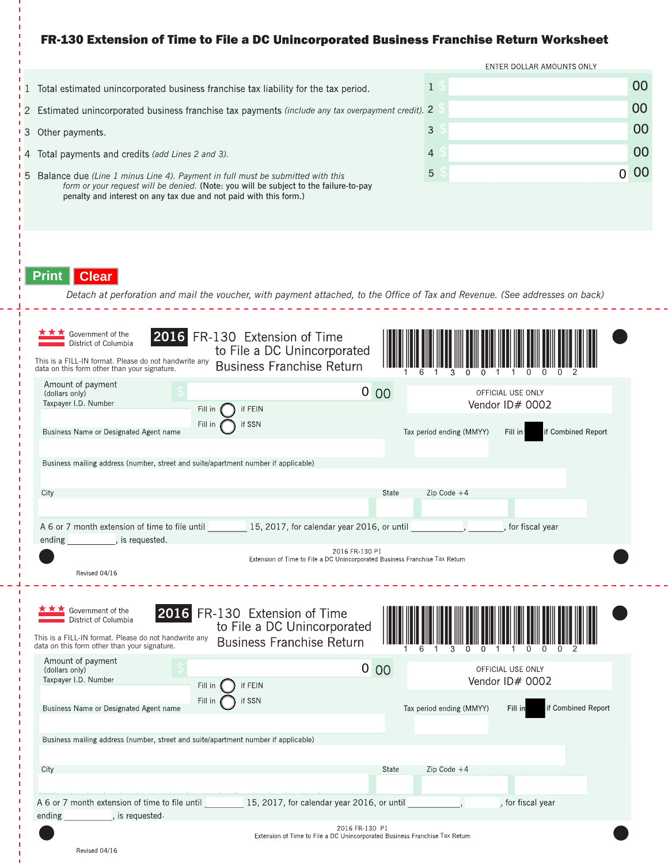# FR-130 Extension of Time to File a DC Unincorporated Business Franchise Return Worksheet

|                                                                                                                                                              |                                                                                                                                                                                                                                                |              |  | ENTER DOLLAR AMOUNTS ONLY |                |  |
|--------------------------------------------------------------------------------------------------------------------------------------------------------------|------------------------------------------------------------------------------------------------------------------------------------------------------------------------------------------------------------------------------------------------|--------------|--|---------------------------|----------------|--|
|                                                                                                                                                              | 1 Total estimated unincorporated business franchise tax liability for the tax period.                                                                                                                                                          | $\mathbf{1}$ |  |                           | 00             |  |
|                                                                                                                                                              | 2 Estimated unincorporated business franchise tax payments (include any tax overpayment credit). 2                                                                                                                                             |              |  |                           | 00             |  |
|                                                                                                                                                              | 3 Other payments.                                                                                                                                                                                                                              | 3            |  |                           | 00             |  |
|                                                                                                                                                              | 4 Total payments and credits (add Lines 2 and 3).                                                                                                                                                                                              | 4            |  |                           | 00             |  |
|                                                                                                                                                              | 5 Balance due (Line 1 minus Line 4). Payment in full must be submitted with this<br>form or your request will be denied. (Note: you will be subject to the failure-to-pay<br>penalty and interest on any tax due and not paid with this form.) | 5            |  |                           | 00<br>$\Omega$ |  |
| <b>Print</b><br><b>Clear</b><br>Detach at perforation and mail the voucher, with payment attached, to the Office of Tax and Revenue. (See addresses on back) |                                                                                                                                                                                                                                                |              |  |                           |                |  |

| Government of the<br>16<br>District of Columbia<br>This is a FILL-IN format. Please do not handwrite any<br>data on this form other than your signature.                                                                                                                                                                   | FR-130 Extension of Time<br>to File a DC Unincorporated<br><b>Business Franchise Return</b>      |       |                                      |                                      |  |  |  |  |
|----------------------------------------------------------------------------------------------------------------------------------------------------------------------------------------------------------------------------------------------------------------------------------------------------------------------------|--------------------------------------------------------------------------------------------------|-------|--------------------------------------|--------------------------------------|--|--|--|--|
| Amount of payment<br>(dollars only)<br>Taxpayer I.D. Number<br>Fill in                                                                                                                                                                                                                                                     | $\vert 0 \vert$<br>if FEIN                                                                       | 00    | OFFICIAL USE ONLY<br>Vendor ID# 0002 |                                      |  |  |  |  |
| Fill in<br>Business Name or Designated Agent name                                                                                                                                                                                                                                                                          | if SSN                                                                                           |       | Tax period ending (MMYY)             | Fill in<br>if Combined Report        |  |  |  |  |
| Business mailing address (number, street and suite/apartment number if applicable)                                                                                                                                                                                                                                         |                                                                                                  |       |                                      |                                      |  |  |  |  |
| City                                                                                                                                                                                                                                                                                                                       |                                                                                                  | State | $Zip Code + 4$                       |                                      |  |  |  |  |
| A 6 or 7 month extension of time to file until 15, 2017, for calendar year 2016, or until<br>ending ending, is requested.                                                                                                                                                                                                  |                                                                                                  |       |                                      | for fiscal year                      |  |  |  |  |
|                                                                                                                                                                                                                                                                                                                            | 2016 FR-130 P1<br>Extension of Time to File a DC Unincorporated Business Franchise Tax Return    |       |                                      |                                      |  |  |  |  |
| Revised 04/16                                                                                                                                                                                                                                                                                                              |                                                                                                  |       |                                      |                                      |  |  |  |  |
| Government of the<br>District of Columbia<br>This is a FILL-IN format. Please do not handwrite any<br>data on this form other than your signature.                                                                                                                                                                         | 2016 FR-130 Extension of Time<br>to File a DC Unincorporated<br><b>Business Franchise Return</b> |       |                                      |                                      |  |  |  |  |
| Amount of payment<br>(dollars only)<br>Taxpayer I.D. Number<br>Fill in                                                                                                                                                                                                                                                     | $\overline{0}$<br>if FEIN                                                                        | 00    |                                      | OFFICIAL USE ONLY<br>Vendor ID# 0002 |  |  |  |  |
| Fill in<br>Business Name or Designated Agent name                                                                                                                                                                                                                                                                          | if SSN                                                                                           |       | Tax period ending (MMYY)             | if Combined Report<br>Fill in        |  |  |  |  |
| Business mailing address (number, street and suite/apartment number if applicable)                                                                                                                                                                                                                                         |                                                                                                  |       |                                      |                                      |  |  |  |  |
| City                                                                                                                                                                                                                                                                                                                       |                                                                                                  | State | $Zip Code + 4$                       |                                      |  |  |  |  |
| A 6 or 7 month extension of time to file until 15, 2017, for calendar year 2016, or until<br>ending ending state state of the sequested and sense of the sense of the sense of the sense of the sense of the sense of the sense of the sense of the sense of the sense of the sense of the sense of the sense of the sense |                                                                                                  |       |                                      | , for fiscal year                    |  |  |  |  |
|                                                                                                                                                                                                                                                                                                                            | 2016 FR-130 P1<br>Extension of Time to File a DC Unincorporated Business Eranchise Tax Return    |       |                                      |                                      |  |  |  |  |

والمسامس

ion of Time to File a DC Unincorporated Business Franchise Tax Return